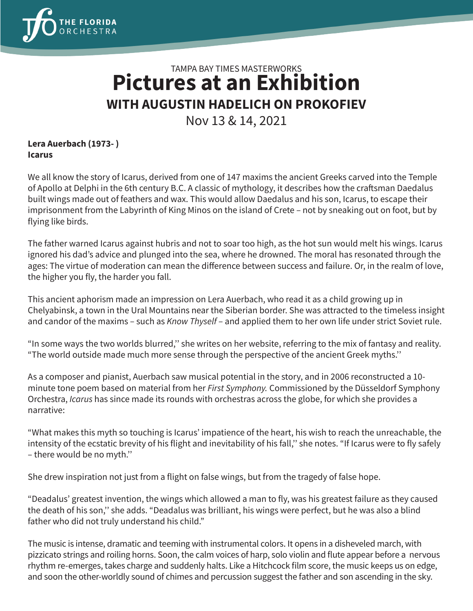

# TAMPA BAY TIMES MASTERWORKS **Pictures at an Exhibition WITH AUGUSTIN HADELICH ON PROKOFIEV**

Nov 13 & 14, 2021

#### **Lera Auerbach (1973- ) Icarus**

We all know the story of Icarus, derived from one of 147 maxims the ancient Greeks carved into the Temple of Apollo at Delphi in the 6th century B.C. A classic of mythology, it describes how the craftsman Daedalus built wings made out of feathers and wax. This would allow Daedalus and his son, Icarus, to escape their imprisonment from the Labyrinth of King Minos on the island of Crete – not by sneaking out on foot, but by flying like birds.

The father warned Icarus against hubris and not to soar too high, as the hot sun would melt his wings. Icarus ignored his dad's advice and plunged into the sea, where he drowned. The moral has resonated through the ages: The virtue of moderation can mean the difference between success and failure. Or, in the realm of love, the higher you fly, the harder you fall.

This ancient aphorism made an impression on Lera Auerbach, who read it as a child growing up in Chelyabinsk, a town in the Ural Mountains near the Siberian border. She was attracted to the timeless insight and candor of the maxims – such as *Know Thyself* – and applied them to her own life under strict Soviet rule.

"In some ways the two worlds blurred,'' she writes on her website, referring to the mix of fantasy and reality. "The world outside made much more sense through the perspective of the ancient Greek myths.''

As a composer and pianist, Auerbach saw musical potential in the story, and in 2006 reconstructed a 10 minute tone poem based on material from her *First Symphony.* Commissioned by the Düsseldorf Symphony Orchestra, *Icarus* has since made its rounds with orchestras across the globe, for which she provides a narrative:

"What makes this myth so touching is Icarus' impatience of the heart, his wish to reach the unreachable, the intensity of the ecstatic brevity of his flight and inevitability of his fall,'' she notes. "If Icarus were to fly safely – there would be no myth.''

She drew inspiration not just from a flight on false wings, but from the tragedy of false hope.

"Deadalus' greatest invention, the wings which allowed a man to fly, was his greatest failure as they caused the death of his son,'' she adds. "Deadalus was brilliant, his wings were perfect, but he was also a blind father who did not truly understand his child."

The music is intense, dramatic and teeming with instrumental colors. It opens in a disheveled march, with pizzicato strings and roiling horns. Soon, the calm voices of harp, solo violin and flute appear before a nervous rhythm re-emerges, takes charge and suddenly halts. Like a Hitchcock film score, the music keeps us on edge, and soon the other-worldly sound of chimes and percussion suggest the father and son ascending in the sky.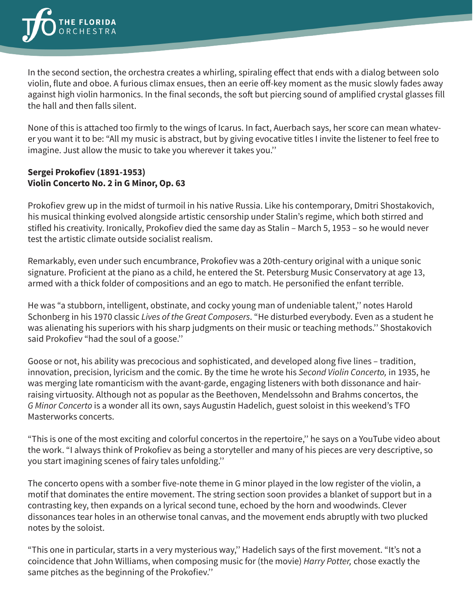In the second section, the orchestra creates a whirling, spiraling effect that ends with a dialog between solo violin, flute and oboe. A furious climax ensues, then an eerie off-key moment as the music slowly fades away against high violin harmonics. In the final seconds, the soft but piercing sound of amplified crystal glasses fill the hall and then falls silent.

None of this is attached too firmly to the wings of Icarus. In fact, Auerbach says, her score can mean whatever you want it to be: "All my music is abstract, but by giving evocative titles I invite the listener to feel free to imagine. Just allow the music to take you wherever it takes you.''

### **Sergei Prokofiev (1891-1953) Violin Concerto No. 2 in G Minor, Op. 63**

Prokofiev grew up in the midst of turmoil in his native Russia. Like his contemporary, Dmitri Shostakovich, his musical thinking evolved alongside artistic censorship under Stalin's regime, which both stirred and stifled his creativity. Ironically, Prokofiev died the same day as Stalin – March 5, 1953 – so he would never test the artistic climate outside socialist realism.

Remarkably, even under such encumbrance, Prokofiev was a 20th-century original with a unique sonic signature. Proficient at the piano as a child, he entered the St. Petersburg Music Conservatory at age 13, armed with a thick folder of compositions and an ego to match. He personified the enfant terrible.

He was "a stubborn, intelligent, obstinate, and cocky young man of undeniable talent,'' notes Harold Schonberg in his 1970 classic *Lives of the Great Composers*. "He disturbed everybody. Even as a student he was alienating his superiors with his sharp judgments on their music or teaching methods.'' Shostakovich said Prokofiev "had the soul of a goose.''

Goose or not, his ability was precocious and sophisticated, and developed along five lines – tradition, innovation, precision, lyricism and the comic. By the time he wrote his *Second Violin Concerto,* in 1935, he was merging late romanticism with the avant-garde, engaging listeners with both dissonance and hairraising virtuosity. Although not as popular as the Beethoven, Mendelssohn and Brahms concertos, the *G Minor Concerto* is a wonder all its own, says Augustin Hadelich, guest soloist in this weekend's TFO Masterworks concerts.

"This is one of the most exciting and colorful concertos in the repertoire,'' he says on a YouTube video about the work. "I always think of Prokofiev as being a storyteller and many of his pieces are very descriptive, so you start imagining scenes of fairy tales unfolding.''

The concerto opens with a somber five-note theme in G minor played in the low register of the violin, a motif that dominates the entire movement. The string section soon provides a blanket of support but in a contrasting key, then expands on a lyrical second tune, echoed by the horn and woodwinds. Clever dissonances tear holes in an otherwise tonal canvas, and the movement ends abruptly with two plucked notes by the soloist.

"This one in particular, starts in a very mysterious way,'' Hadelich says of the first movement. "It's not a coincidence that John Williams, when composing music for (the movie) *Harry Potter,* chose exactly the same pitches as the beginning of the Prokofiev.''